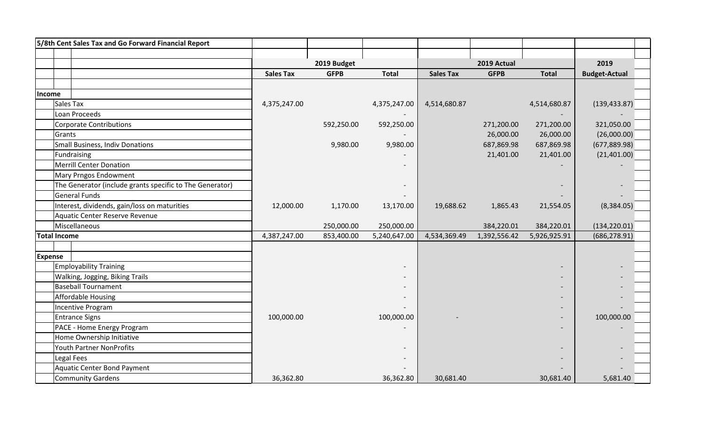| 5/8th Cent Sales Tax and Go Forward Financial Report     |                  |             |              |                  |              |              |                      |
|----------------------------------------------------------|------------------|-------------|--------------|------------------|--------------|--------------|----------------------|
|                                                          |                  |             |              |                  |              |              |                      |
|                                                          |                  | 2019 Budget |              |                  | 2019 Actual  |              | 2019                 |
|                                                          | <b>Sales Tax</b> | <b>GFPB</b> | <b>Total</b> | <b>Sales Tax</b> | <b>GFPB</b>  | <b>Total</b> | <b>Budget-Actual</b> |
|                                                          |                  |             |              |                  |              |              |                      |
| Income                                                   |                  |             |              |                  |              |              |                      |
| Sales Tax                                                | 4,375,247.00     |             | 4,375,247.00 | 4,514,680.87     |              | 4,514,680.87 | (139, 433.87)        |
| Loan Proceeds                                            |                  |             |              |                  |              |              |                      |
| <b>Corporate Contributions</b>                           |                  | 592,250.00  | 592,250.00   |                  | 271,200.00   | 271,200.00   | 321,050.00           |
| Grants                                                   |                  |             |              |                  | 26,000.00    | 26,000.00    | (26,000.00)          |
| <b>Small Business, Indiv Donations</b>                   |                  | 9,980.00    | 9,980.00     |                  | 687,869.98   | 687,869.98   | (677, 889.98)        |
| Fundraising                                              |                  |             |              |                  | 21,401.00    | 21,401.00    | (21,401.00)          |
| <b>Merrill Center Donation</b>                           |                  |             |              |                  |              |              |                      |
| Mary Prngos Endowment                                    |                  |             |              |                  |              |              |                      |
| The Generator (include grants specific to The Generator) |                  |             |              |                  |              |              |                      |
| <b>General Funds</b>                                     |                  |             |              |                  |              |              |                      |
| Interest, dividends, gain/loss on maturities             | 12,000.00        | 1,170.00    | 13,170.00    | 19,688.62        | 1,865.43     | 21,554.05    | (8,384.05)           |
| Aquatic Center Reserve Revenue                           |                  |             |              |                  |              |              |                      |
| Miscellaneous                                            |                  | 250,000.00  | 250,000.00   |                  | 384,220.01   | 384,220.01   | (134, 220.01)        |
| <b>Total Income</b>                                      | 4,387,247.00     | 853,400.00  | 5,240,647.00 | 4,534,369.49     | 1,392,556.42 | 5,926,925.91 | (686, 278.91)        |
|                                                          |                  |             |              |                  |              |              |                      |
| <b>Expense</b>                                           |                  |             |              |                  |              |              |                      |
| <b>Employability Training</b>                            |                  |             |              |                  |              |              |                      |
| Walking, Jogging, Biking Trails                          |                  |             |              |                  |              |              |                      |
| <b>Baseball Tournament</b>                               |                  |             |              |                  |              |              |                      |
| <b>Affordable Housing</b>                                |                  |             |              |                  |              |              |                      |
| <b>Incentive Program</b>                                 |                  |             |              |                  |              |              |                      |
| <b>Entrance Signs</b>                                    | 100,000.00       |             | 100,000.00   |                  |              |              | 100,000.00           |
| PACE - Home Energy Program                               |                  |             |              |                  |              |              |                      |
| Home Ownership Initiative                                |                  |             |              |                  |              |              |                      |
| <b>Youth Partner NonProfits</b>                          |                  |             |              |                  |              |              |                      |
| Legal Fees                                               |                  |             |              |                  |              |              |                      |
| <b>Aquatic Center Bond Payment</b>                       |                  |             |              |                  |              |              |                      |
| <b>Community Gardens</b>                                 | 36,362.80        |             | 36,362.80    | 30,681.40        |              | 30,681.40    | 5,681.40             |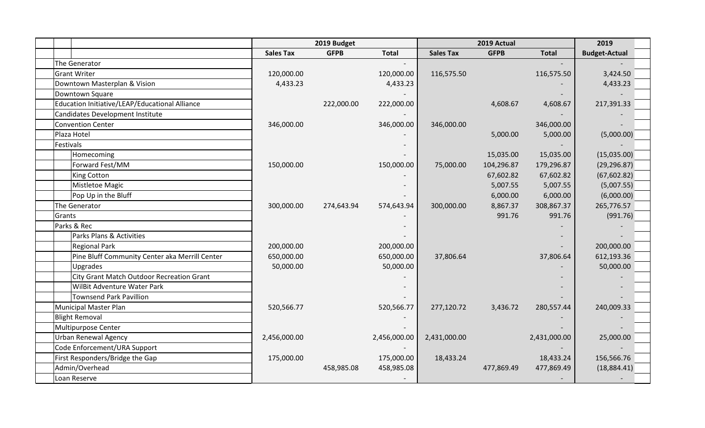|                                                |                  | 2019 Budget |              |                  | 2019 Actual |              | 2019                 |
|------------------------------------------------|------------------|-------------|--------------|------------------|-------------|--------------|----------------------|
|                                                | <b>Sales Tax</b> | <b>GFPB</b> | <b>Total</b> | <b>Sales Tax</b> | <b>GFPB</b> | <b>Total</b> | <b>Budget-Actual</b> |
| The Generator                                  |                  |             |              |                  |             |              |                      |
| <b>Grant Writer</b>                            | 120,000.00       |             | 120,000.00   | 116,575.50       |             | 116,575.50   | 3,424.50             |
| Downtown Masterplan & Vision                   | 4,433.23         |             | 4,433.23     |                  |             |              | 4,433.23             |
| Downtown Square                                |                  |             |              |                  |             |              |                      |
| Education Initiative/LEAP/Educational Alliance |                  | 222,000.00  | 222,000.00   |                  | 4,608.67    | 4,608.67     | 217,391.33           |
| <b>Candidates Development Institute</b>        |                  |             |              |                  |             |              |                      |
| <b>Convention Center</b>                       | 346,000.00       |             | 346,000.00   | 346,000.00       |             | 346,000.00   |                      |
| Plaza Hotel                                    |                  |             |              |                  | 5,000.00    | 5,000.00     | (5,000.00)           |
| Festivals                                      |                  |             |              |                  |             |              |                      |
| Homecoming                                     |                  |             |              |                  | 15,035.00   | 15,035.00    | (15,035.00)          |
| Forward Fest/MM                                | 150,000.00       |             | 150,000.00   | 75,000.00        | 104,296.87  | 179,296.87   | (29, 296.87)         |
| <b>King Cotton</b>                             |                  |             |              |                  | 67,602.82   | 67,602.82    | (67, 602.82)         |
| Mistletoe Magic                                |                  |             |              |                  | 5,007.55    | 5,007.55     | (5,007.55)           |
| Pop Up in the Bluff                            |                  |             |              |                  | 6,000.00    | 6,000.00     | (6,000.00)           |
| The Generator                                  | 300,000.00       | 274,643.94  | 574,643.94   | 300,000.00       | 8,867.37    | 308,867.37   | 265,776.57           |
| Grants                                         |                  |             |              |                  | 991.76      | 991.76       | (991.76)             |
| Parks & Rec                                    |                  |             |              |                  |             |              |                      |
| Parks Plans & Activities                       |                  |             |              |                  |             |              |                      |
| <b>Regional Park</b>                           | 200,000.00       |             | 200,000.00   |                  |             |              | 200,000.00           |
| Pine Bluff Community Center aka Merrill Center | 650,000.00       |             | 650,000.00   | 37,806.64        |             | 37,806.64    | 612,193.36           |
| Upgrades                                       | 50,000.00        |             | 50,000.00    |                  |             |              | 50,000.00            |
| City Grant Match Outdoor Recreation Grant      |                  |             |              |                  |             |              |                      |
| WilBit Adventure Water Park                    |                  |             |              |                  |             |              |                      |
| <b>Townsend Park Pavillion</b>                 |                  |             |              |                  |             |              |                      |
| <b>Municipal Master Plan</b>                   | 520,566.77       |             | 520,566.77   | 277,120.72       | 3,436.72    | 280,557.44   | 240,009.33           |
| <b>Blight Removal</b>                          |                  |             |              |                  |             |              |                      |
| Multipurpose Center                            |                  |             |              |                  |             |              |                      |
| <b>Urban Renewal Agency</b>                    | 2,456,000.00     |             | 2,456,000.00 | 2,431,000.00     |             | 2,431,000.00 | 25,000.00            |
| Code Enforcement/URA Support                   |                  |             |              |                  |             |              |                      |
| First Responders/Bridge the Gap                | 175,000.00       |             | 175,000.00   | 18,433.24        |             | 18,433.24    | 156,566.76           |
| Admin/Overhead                                 |                  | 458,985.08  | 458,985.08   |                  | 477,869.49  | 477,869.49   | (18,884.41)          |
| Loan Reserve                                   |                  |             |              |                  |             |              |                      |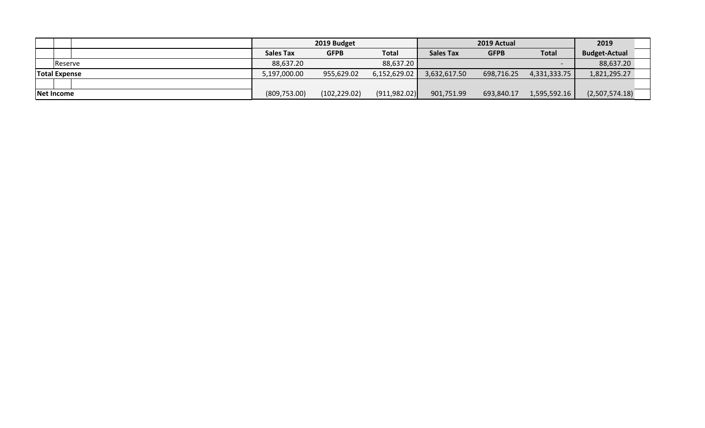|                      |                  | 2019 Budget   |               |                  | 2019 Actual |              | 2019                 |  |
|----------------------|------------------|---------------|---------------|------------------|-------------|--------------|----------------------|--|
|                      | <b>Sales Tax</b> | <b>GFPB</b>   | <b>Total</b>  | <b>Sales Tax</b> | <b>GFPB</b> | <b>Total</b> | <b>Budget-Actual</b> |  |
| Reserve              | 88,637.20        |               | 88,637.20     |                  |             |              | 88,637.20            |  |
| <b>Total Expense</b> | 5,197,000.00     | 955,629.02    | 6,152,629.02  | 3,632,617.50     | 698,716.25  | 4,331,333.75 | 1,821,295.27         |  |
|                      |                  |               |               |                  |             |              |                      |  |
| Net Income           | (809, 753.00)    | (102, 229.02) | (911, 982.02) | 901,751.99       | 693,840.17  | 1,595,592.16 | (2,507,574.18)       |  |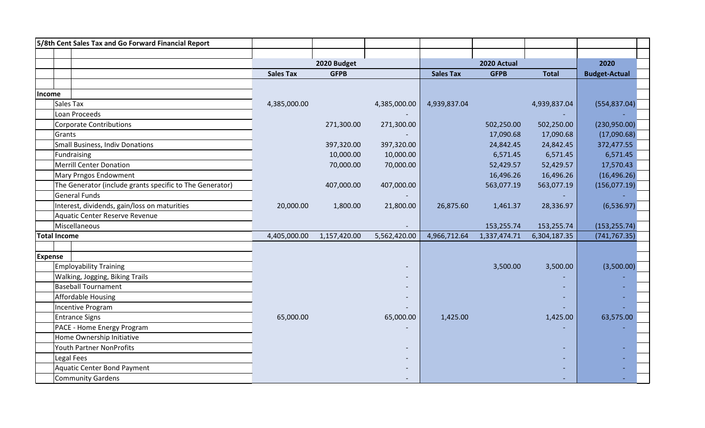| 5/8th Cent Sales Tax and Go Forward Financial Report     |                  |              |              |                  |              |              |                      |
|----------------------------------------------------------|------------------|--------------|--------------|------------------|--------------|--------------|----------------------|
|                                                          |                  |              |              |                  |              |              |                      |
|                                                          |                  | 2020 Budget  |              |                  | 2020 Actual  |              | 2020                 |
|                                                          | <b>Sales Tax</b> | <b>GFPB</b>  |              | <b>Sales Tax</b> | <b>GFPB</b>  | <b>Total</b> | <b>Budget-Actual</b> |
|                                                          |                  |              |              |                  |              |              |                      |
| Income                                                   |                  |              |              |                  |              |              |                      |
| Sales Tax                                                | 4,385,000.00     |              | 4,385,000.00 | 4,939,837.04     |              | 4,939,837.04 | (554, 837.04)        |
| Loan Proceeds                                            |                  |              |              |                  |              |              |                      |
| <b>Corporate Contributions</b>                           |                  | 271,300.00   | 271,300.00   |                  | 502,250.00   | 502,250.00   | (230,950.00)         |
| Grants                                                   |                  |              |              |                  | 17,090.68    | 17,090.68    | (17,090.68)          |
| <b>Small Business, Indiv Donations</b>                   |                  | 397,320.00   | 397,320.00   |                  | 24,842.45    | 24,842.45    | 372,477.55           |
| Fundraising                                              |                  | 10,000.00    | 10,000.00    |                  | 6,571.45     | 6,571.45     | 6,571.45             |
| <b>Merrill Center Donation</b>                           |                  | 70,000.00    | 70,000.00    |                  | 52,429.57    | 52,429.57    | 17,570.43            |
| Mary Prngos Endowment                                    |                  |              |              |                  | 16,496.26    | 16,496.26    | (16, 496.26)         |
| The Generator (include grants specific to The Generator) |                  | 407,000.00   | 407,000.00   |                  | 563,077.19   | 563,077.19   | (156, 077.19)        |
| <b>General Funds</b>                                     |                  |              |              |                  |              |              |                      |
| Interest, dividends, gain/loss on maturities             | 20,000.00        | 1,800.00     | 21,800.00    | 26,875.60        | 1,461.37     | 28,336.97    | (6,536.97)           |
| Aquatic Center Reserve Revenue                           |                  |              |              |                  |              |              |                      |
| Miscellaneous                                            |                  |              |              |                  | 153,255.74   | 153,255.74   | (153, 255.74)        |
| Total Income                                             | 4,405,000.00     | 1,157,420.00 | 5,562,420.00 | 4,966,712.64     | 1,337,474.71 | 6,304,187.35 | (741, 767.35)        |
|                                                          |                  |              |              |                  |              |              |                      |
| <b>Expense</b>                                           |                  |              |              |                  |              |              |                      |
| <b>Employability Training</b>                            |                  |              |              |                  | 3,500.00     | 3,500.00     | (3,500.00)           |
| Walking, Jogging, Biking Trails                          |                  |              |              |                  |              |              |                      |
| <b>Baseball Tournament</b>                               |                  |              |              |                  |              |              |                      |
| <b>Affordable Housing</b>                                |                  |              |              |                  |              |              |                      |
| Incentive Program                                        |                  |              |              |                  |              |              |                      |
| <b>Entrance Signs</b>                                    | 65,000.00        |              | 65,000.00    | 1,425.00         |              | 1,425.00     | 63,575.00            |
| PACE - Home Energy Program                               |                  |              |              |                  |              |              |                      |
| Home Ownership Initiative                                |                  |              |              |                  |              |              |                      |
| Youth Partner NonProfits                                 |                  |              |              |                  |              |              |                      |
| Legal Fees                                               |                  |              |              |                  |              |              |                      |
| <b>Aquatic Center Bond Payment</b>                       |                  |              |              |                  |              |              |                      |
| <b>Community Gardens</b>                                 |                  |              |              |                  |              |              |                      |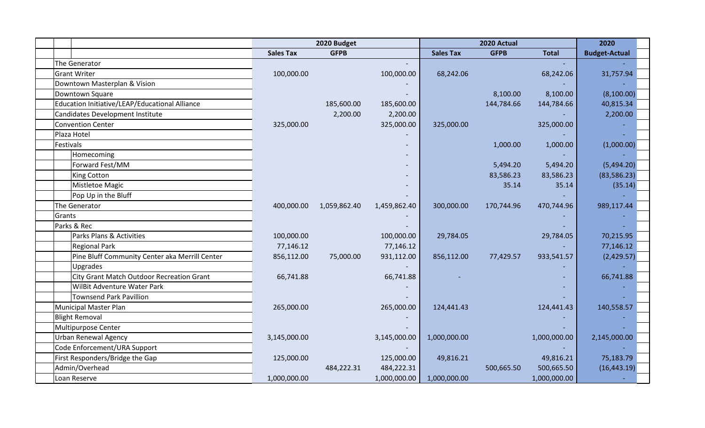|                                                |                  | 2020 Budget  |              |                  | 2020 Actual |              | 2020                 |
|------------------------------------------------|------------------|--------------|--------------|------------------|-------------|--------------|----------------------|
|                                                | <b>Sales Tax</b> | <b>GFPB</b>  |              | <b>Sales Tax</b> | <b>GFPB</b> | <b>Total</b> | <b>Budget-Actual</b> |
| The Generator                                  |                  |              |              |                  |             |              |                      |
| <b>Grant Writer</b>                            | 100,000.00       |              | 100,000.00   | 68,242.06        |             | 68,242.06    | 31,757.94            |
| Downtown Masterplan & Vision                   |                  |              |              |                  |             |              |                      |
| Downtown Square                                |                  |              |              |                  | 8,100.00    | 8,100.00     | (8,100.00)           |
| Education Initiative/LEAP/Educational Alliance |                  | 185,600.00   | 185,600.00   |                  | 144,784.66  | 144,784.66   | 40,815.34            |
| <b>Candidates Development Institute</b>        |                  | 2,200.00     | 2,200.00     |                  |             |              | 2,200.00             |
| <b>Convention Center</b>                       | 325,000.00       |              | 325,000.00   | 325,000.00       |             | 325,000.00   |                      |
| Plaza Hotel                                    |                  |              |              |                  |             |              |                      |
| Festivals                                      |                  |              |              |                  | 1,000.00    | 1,000.00     | (1,000.00)           |
| Homecoming                                     |                  |              |              |                  |             |              |                      |
| Forward Fest/MM                                |                  |              |              |                  | 5,494.20    | 5,494.20     | (5,494.20)           |
| <b>King Cotton</b>                             |                  |              |              |                  | 83,586.23   | 83,586.23    | (83, 586.23)         |
| Mistletoe Magic                                |                  |              |              |                  | 35.14       | 35.14        | (35.14)              |
| Pop Up in the Bluff                            |                  |              |              |                  |             |              |                      |
| The Generator                                  | 400,000.00       | 1,059,862.40 | 1,459,862.40 | 300,000.00       | 170,744.96  | 470,744.96   | 989,117.44           |
| Grants                                         |                  |              |              |                  |             |              |                      |
| Parks & Rec                                    |                  |              |              |                  |             |              |                      |
| Parks Plans & Activities                       | 100,000.00       |              | 100,000.00   | 29,784.05        |             | 29,784.05    | 70,215.95            |
| <b>Regional Park</b>                           | 77,146.12        |              | 77,146.12    |                  |             |              | 77,146.12            |
| Pine Bluff Community Center aka Merrill Center | 856,112.00       | 75,000.00    | 931,112.00   | 856,112.00       | 77,429.57   | 933,541.57   | (2,429.57)           |
| Upgrades                                       |                  |              |              |                  |             |              |                      |
| City Grant Match Outdoor Recreation Grant      | 66,741.88        |              | 66,741.88    |                  |             |              | 66,741.88            |
| WilBit Adventure Water Park                    |                  |              |              |                  |             |              |                      |
| <b>Townsend Park Pavillion</b>                 |                  |              |              |                  |             |              |                      |
| <b>Municipal Master Plan</b>                   | 265,000.00       |              | 265,000.00   | 124,441.43       |             | 124,441.43   | 140,558.57           |
| <b>Blight Removal</b>                          |                  |              |              |                  |             |              |                      |
| Multipurpose Center                            |                  |              |              |                  |             |              |                      |
| <b>Urban Renewal Agency</b>                    | 3,145,000.00     |              | 3,145,000.00 | 1,000,000.00     |             | 1,000,000.00 | 2,145,000.00         |
| Code Enforcement/URA Support                   |                  |              |              |                  |             |              |                      |
| First Responders/Bridge the Gap                | 125,000.00       |              | 125,000.00   | 49,816.21        |             | 49,816.21    | 75,183.79            |
| Admin/Overhead                                 |                  | 484,222.31   | 484,222.31   |                  | 500,665.50  | 500,665.50   | (16, 443.19)         |
| Loan Reserve                                   | 1,000,000.00     |              | 1,000,000.00 | 1,000,000.00     |             | 1,000,000.00 |                      |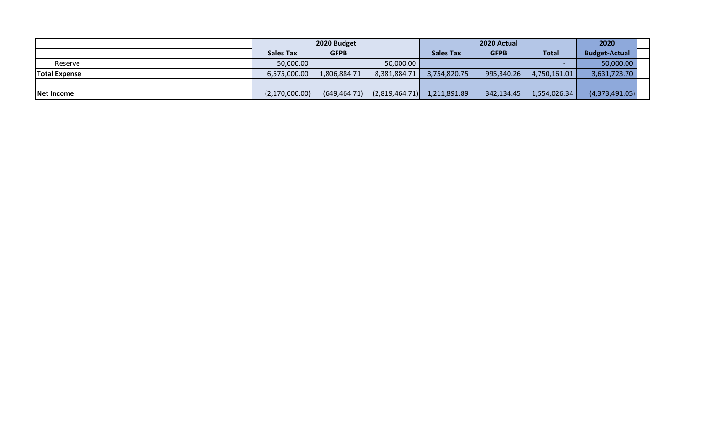|                      |                  | 2020 Budget   |                |                  | 2020 Actual |              | 2020                 |
|----------------------|------------------|---------------|----------------|------------------|-------------|--------------|----------------------|
|                      | <b>Sales Tax</b> | <b>GFPB</b>   |                | <b>Sales Tax</b> | <b>GFPB</b> | <b>Total</b> | <b>Budget-Actual</b> |
| <b>Reserve</b>       | 50,000.00        |               | 50,000.00      |                  |             |              | 50,000.00            |
| <b>Total Expense</b> | 6,575,000.00     | 1,806,884.71  | 8,381,884.71   | 3,754,820.75     | 995,340.26  | 4,750,161.01 | 3,631,723.70         |
|                      |                  |               |                |                  |             |              |                      |
| Net Income           | (2,170,000.00)   | (649, 464.71) | (2,819,464.71) | 1,211,891.89     | 342,134.45  | 1,554,026.34 | (4,373,491.05)       |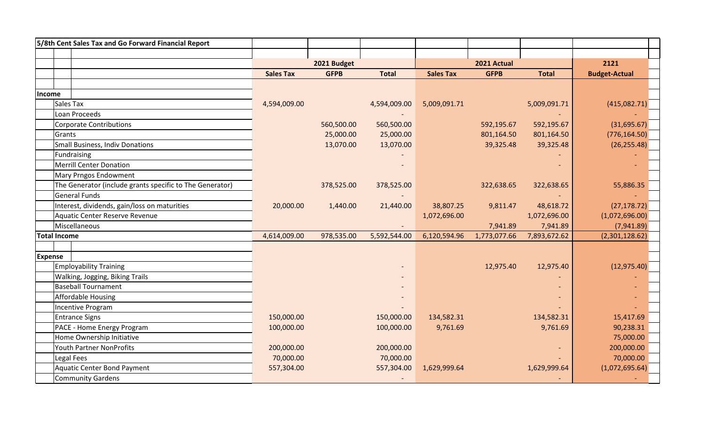| 5/8th Cent Sales Tax and Go Forward Financial Report     |                  |             |              |                  |              |              |                      |
|----------------------------------------------------------|------------------|-------------|--------------|------------------|--------------|--------------|----------------------|
|                                                          |                  |             |              |                  |              |              |                      |
|                                                          |                  | 2021 Budget |              |                  | 2021 Actual  |              | 2121                 |
|                                                          | <b>Sales Tax</b> | <b>GFPB</b> | <b>Total</b> | <b>Sales Tax</b> | <b>GFPB</b>  | <b>Total</b> | <b>Budget-Actual</b> |
|                                                          |                  |             |              |                  |              |              |                      |
| Income                                                   |                  |             |              |                  |              |              |                      |
| Sales Tax                                                | 4,594,009.00     |             | 4,594,009.00 | 5,009,091.71     |              | 5,009,091.71 | (415,082.71)         |
| Loan Proceeds                                            |                  |             |              |                  |              |              |                      |
| <b>Corporate Contributions</b>                           |                  | 560,500.00  | 560,500.00   |                  | 592,195.67   | 592,195.67   | (31,695.67)          |
| Grants                                                   |                  | 25,000.00   | 25,000.00    |                  | 801,164.50   | 801,164.50   | (776, 164.50)        |
| <b>Small Business, Indiv Donations</b>                   |                  | 13,070.00   | 13,070.00    |                  | 39,325.48    | 39,325.48    | (26, 255.48)         |
| Fundraising                                              |                  |             |              |                  |              |              |                      |
| <b>Merrill Center Donation</b>                           |                  |             |              |                  |              |              |                      |
| Mary Prngos Endowment                                    |                  |             |              |                  |              |              |                      |
| The Generator (include grants specific to The Generator) |                  | 378,525.00  | 378,525.00   |                  | 322,638.65   | 322,638.65   | 55,886.35            |
| <b>General Funds</b>                                     |                  |             |              |                  |              |              |                      |
| Interest, dividends, gain/loss on maturities             | 20,000.00        | 1,440.00    | 21,440.00    | 38,807.25        | 9,811.47     | 48,618.72    | (27, 178.72)         |
| Aquatic Center Reserve Revenue                           |                  |             |              | 1,072,696.00     |              | 1,072,696.00 | (1,072,696.00)       |
| Miscellaneous                                            |                  |             |              |                  | 7,941.89     | 7,941.89     | (7,941.89)           |
| <b>Total Income</b>                                      | 4,614,009.00     | 978,535.00  | 5,592,544.00 | 6,120,594.96     | 1,773,077.66 | 7,893,672.62 | (2,301,128.62)       |
|                                                          |                  |             |              |                  |              |              |                      |
| <b>Expense</b>                                           |                  |             |              |                  |              |              |                      |
| <b>Employability Training</b>                            |                  |             |              |                  | 12,975.40    | 12,975.40    | (12, 975.40)         |
| Walking, Jogging, Biking Trails                          |                  |             |              |                  |              |              |                      |
| <b>Baseball Tournament</b>                               |                  |             |              |                  |              |              |                      |
| <b>Affordable Housing</b>                                |                  |             |              |                  |              |              |                      |
| Incentive Program                                        |                  |             |              |                  |              |              |                      |
| <b>Entrance Signs</b>                                    | 150,000.00       |             | 150,000.00   | 134,582.31       |              | 134,582.31   | 15,417.69            |
| PACE - Home Energy Program                               | 100,000.00       |             | 100,000.00   | 9,761.69         |              | 9,761.69     | 90,238.31            |
| Home Ownership Initiative                                |                  |             |              |                  |              |              | 75,000.00            |
| Youth Partner NonProfits                                 | 200,000.00       |             | 200,000.00   |                  |              |              | 200,000.00           |
| Legal Fees                                               | 70,000.00        |             | 70,000.00    |                  |              |              | 70,000.00            |
| <b>Aquatic Center Bond Payment</b>                       | 557,304.00       |             | 557,304.00   | 1,629,999.64     |              | 1,629,999.64 | (1,072,695.64)       |
| <b>Community Gardens</b>                                 |                  |             |              |                  |              |              |                      |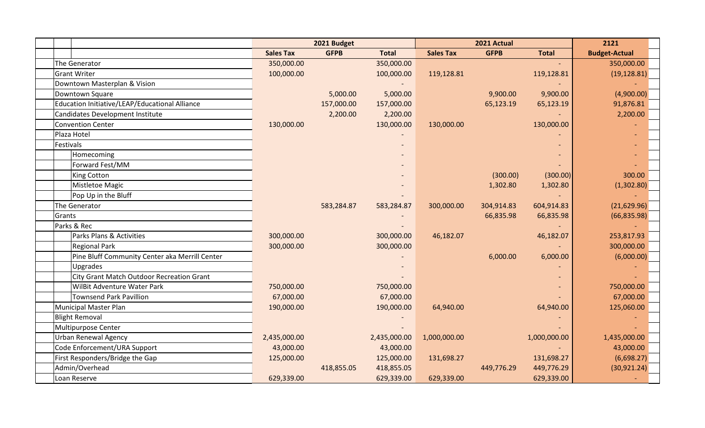|                                                |                  | 2021 Budget |              |                  | 2021 Actual |              | 2121                 |
|------------------------------------------------|------------------|-------------|--------------|------------------|-------------|--------------|----------------------|
|                                                | <b>Sales Tax</b> | <b>GFPB</b> | <b>Total</b> | <b>Sales Tax</b> | <b>GFPB</b> | <b>Total</b> | <b>Budget-Actual</b> |
| The Generator                                  | 350,000.00       |             | 350,000.00   |                  |             |              | 350,000.00           |
| <b>Grant Writer</b>                            | 100,000.00       |             | 100,000.00   | 119,128.81       |             | 119,128.81   | (19, 128.81)         |
| Downtown Masterplan & Vision                   |                  |             |              |                  |             |              |                      |
| Downtown Square                                |                  | 5,000.00    | 5,000.00     |                  | 9,900.00    | 9,900.00     | (4,900.00)           |
| Education Initiative/LEAP/Educational Alliance |                  | 157,000.00  | 157,000.00   |                  | 65,123.19   | 65,123.19    | 91,876.81            |
| Candidates Development Institute               |                  | 2,200.00    | 2,200.00     |                  |             |              | 2,200.00             |
| Convention Center                              | 130,000.00       |             | 130,000.00   | 130,000.00       |             | 130,000.00   |                      |
| Plaza Hotel                                    |                  |             |              |                  |             |              |                      |
| Festivals                                      |                  |             |              |                  |             |              |                      |
| Homecoming                                     |                  |             |              |                  |             |              |                      |
| Forward Fest/MM                                |                  |             |              |                  |             |              |                      |
| King Cotton                                    |                  |             |              |                  | (300.00)    | (300.00)     | 300.00               |
| Mistletoe Magic                                |                  |             |              |                  | 1,302.80    | 1,302.80     | (1,302.80)           |
| Pop Up in the Bluff                            |                  |             |              |                  |             |              |                      |
| The Generator                                  |                  | 583,284.87  | 583,284.87   | 300,000.00       | 304,914.83  | 604,914.83   | (21,629.96)          |
| Grants                                         |                  |             |              |                  | 66,835.98   | 66,835.98    | (66, 835.98)         |
| Parks & Rec                                    |                  |             |              |                  |             |              |                      |
| Parks Plans & Activities                       | 300,000.00       |             | 300,000.00   | 46,182.07        |             | 46,182.07    | 253,817.93           |
| <b>Regional Park</b>                           | 300,000.00       |             | 300,000.00   |                  |             |              | 300,000.00           |
| Pine Bluff Community Center aka Merrill Center |                  |             |              |                  | 6,000.00    | 6,000.00     | (6,000.00)           |
| Upgrades                                       |                  |             |              |                  |             |              |                      |
| City Grant Match Outdoor Recreation Grant      |                  |             |              |                  |             |              |                      |
| WilBit Adventure Water Park                    | 750,000.00       |             | 750,000.00   |                  |             |              | 750,000.00           |
| <b>Townsend Park Pavillion</b>                 | 67,000.00        |             | 67,000.00    |                  |             |              | 67,000.00            |
| Municipal Master Plan                          | 190,000.00       |             | 190,000.00   | 64,940.00        |             | 64,940.00    | 125,060.00           |
| <b>Blight Removal</b>                          |                  |             |              |                  |             |              |                      |
| Multipurpose Center                            |                  |             |              |                  |             |              |                      |
| <b>Urban Renewal Agency</b>                    | 2,435,000.00     |             | 2,435,000.00 | 1,000,000.00     |             | 1,000,000.00 | 1,435,000.00         |
| Code Enforcement/URA Support                   | 43,000.00        |             | 43,000.00    |                  |             |              | 43,000.00            |
| First Responders/Bridge the Gap                | 125,000.00       |             | 125,000.00   | 131,698.27       |             | 131,698.27   | (6,698.27)           |
| Admin/Overhead                                 |                  | 418,855.05  | 418,855.05   |                  | 449,776.29  | 449,776.29   | (30, 921.24)         |
| Loan Reserve                                   | 629,339.00       |             | 629,339.00   | 629,339.00       |             | 629,339.00   |                      |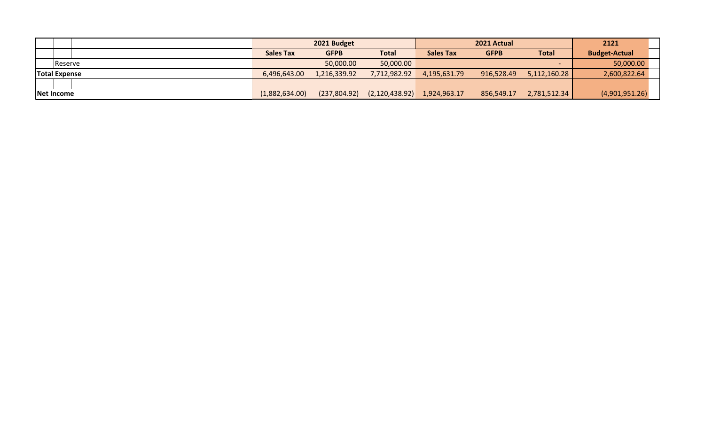|                      |                  | 2021 Budget   |                |                  | 2021 Actual |              | 2121                 |
|----------------------|------------------|---------------|----------------|------------------|-------------|--------------|----------------------|
|                      | <b>Sales Tax</b> | <b>GFPB</b>   | <b>Total</b>   | <b>Sales Tax</b> | <b>GFPB</b> | <b>Total</b> | <b>Budget-Actual</b> |
| Reserve              |                  | 50,000.00     | 50,000.00      |                  |             |              | 50,000.00            |
| <b>Total Expense</b> | 6,496,643.00     | 1,216,339.92  | 7,712,982.92   | 4,195,631.79     | 916,528.49  | 5,112,160.28 | 2,600,822.64         |
|                      |                  |               |                |                  |             |              |                      |
| Net Income           | (1,882,634.00)   | (237, 804.92) | (2,120,438.92) | 1,924,963.17     | 856,549.17  | 2,781,512.34 | (4,901,951.26)       |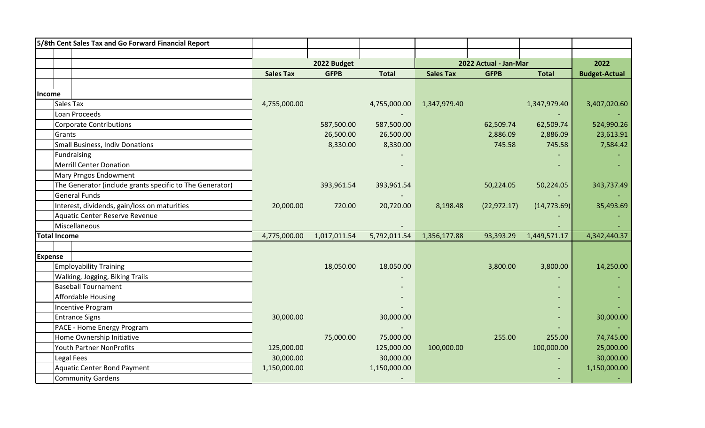|                | 5/8th Cent Sales Tax and Go Forward Financial Report     |                  |              |              |                  |                       |              |                      |
|----------------|----------------------------------------------------------|------------------|--------------|--------------|------------------|-----------------------|--------------|----------------------|
|                |                                                          |                  |              |              |                  |                       |              |                      |
|                |                                                          |                  | 2022 Budget  |              |                  | 2022 Actual - Jan-Mar |              | 2022                 |
|                |                                                          | <b>Sales Tax</b> | <b>GFPB</b>  | <b>Total</b> | <b>Sales Tax</b> | <b>GFPB</b>           | <b>Total</b> | <b>Budget-Actual</b> |
|                |                                                          |                  |              |              |                  |                       |              |                      |
| Income         |                                                          |                  |              |              |                  |                       |              |                      |
|                | Sales Tax                                                | 4,755,000.00     |              | 4,755,000.00 | 1,347,979.40     |                       | 1,347,979.40 | 3,407,020.60         |
|                | Loan Proceeds                                            |                  |              |              |                  |                       |              |                      |
|                | <b>Corporate Contributions</b>                           |                  | 587,500.00   | 587,500.00   |                  | 62,509.74             | 62,509.74    | 524,990.26           |
|                | Grants                                                   |                  | 26,500.00    | 26,500.00    |                  | 2,886.09              | 2,886.09     | 23,613.91            |
|                | <b>Small Business, Indiv Donations</b>                   |                  | 8,330.00     | 8,330.00     |                  | 745.58                | 745.58       | 7,584.42             |
|                | Fundraising                                              |                  |              |              |                  |                       |              |                      |
|                | <b>Merrill Center Donation</b>                           |                  |              |              |                  |                       |              |                      |
|                | Mary Prngos Endowment                                    |                  |              |              |                  |                       |              |                      |
|                | The Generator (include grants specific to The Generator) |                  | 393,961.54   | 393,961.54   |                  | 50,224.05             | 50,224.05    | 343,737.49           |
|                | <b>General Funds</b>                                     |                  |              |              |                  |                       |              |                      |
|                | Interest, dividends, gain/loss on maturities             | 20,000.00        | 720.00       | 20,720.00    | 8,198.48         | (22, 972.17)          | (14, 773.69) | 35,493.69            |
|                | Aquatic Center Reserve Revenue                           |                  |              |              |                  |                       |              |                      |
|                | Miscellaneous                                            |                  |              |              |                  |                       |              |                      |
|                | <b>Total Income</b>                                      | 4,775,000.00     | 1,017,011.54 | 5,792,011.54 | 1,356,177.88     | 93,393.29             | 1,449,571.17 | 4,342,440.37         |
|                |                                                          |                  |              |              |                  |                       |              |                      |
| <b>Expense</b> |                                                          |                  |              |              |                  |                       |              |                      |
|                | <b>Employability Training</b>                            |                  | 18,050.00    | 18,050.00    |                  | 3,800.00              | 3,800.00     | 14,250.00            |
|                | Walking, Jogging, Biking Trails                          |                  |              |              |                  |                       |              |                      |
|                | <b>Baseball Tournament</b>                               |                  |              |              |                  |                       |              |                      |
|                | <b>Affordable Housing</b>                                |                  |              |              |                  |                       |              |                      |
|                | Incentive Program                                        |                  |              |              |                  |                       |              |                      |
|                | <b>Entrance Signs</b>                                    | 30,000.00        |              | 30,000.00    |                  |                       |              | 30,000.00            |
|                | PACE - Home Energy Program                               |                  |              |              |                  |                       |              |                      |
|                | Home Ownership Initiative                                |                  | 75,000.00    | 75,000.00    |                  | 255.00                | 255.00       | 74,745.00            |
|                | Youth Partner NonProfits                                 | 125,000.00       |              | 125,000.00   | 100,000.00       |                       | 100,000.00   | 25,000.00            |
|                | Legal Fees                                               | 30,000.00        |              | 30,000.00    |                  |                       |              | 30,000.00            |
|                | <b>Aquatic Center Bond Payment</b>                       | 1,150,000.00     |              | 1,150,000.00 |                  |                       |              | 1,150,000.00         |
|                | <b>Community Gardens</b>                                 |                  |              |              |                  |                       |              |                      |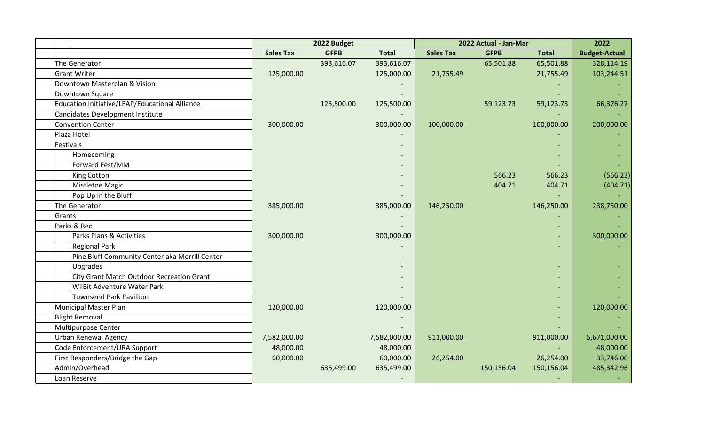|                                                |                  | 2022 Budget |              |                  | 2022 Actual - Jan-Mar |              | 2022                 |
|------------------------------------------------|------------------|-------------|--------------|------------------|-----------------------|--------------|----------------------|
|                                                | <b>Sales Tax</b> | <b>GFPB</b> | <b>Total</b> | <b>Sales Tax</b> | <b>GFPB</b>           | <b>Total</b> | <b>Budget-Actual</b> |
| The Generator                                  |                  | 393,616.07  | 393,616.07   |                  | 65,501.88             | 65,501.88    | 328,114.19           |
| <b>Grant Writer</b>                            | 125,000.00       |             | 125,000.00   | 21,755.49        |                       | 21,755.49    | 103,244.51           |
| Downtown Masterplan & Vision                   |                  |             |              |                  |                       |              |                      |
| Downtown Square                                |                  |             |              |                  |                       |              |                      |
| Education Initiative/LEAP/Educational Alliance |                  | 125,500.00  | 125,500.00   |                  | 59,123.73             | 59,123.73    | 66,376.27            |
| <b>Candidates Development Institute</b>        |                  |             |              |                  |                       |              |                      |
| <b>Convention Center</b>                       | 300,000.00       |             | 300,000.00   | 100,000.00       |                       | 100,000.00   | 200,000.00           |
| Plaza Hotel                                    |                  |             |              |                  |                       |              |                      |
| Festivals                                      |                  |             |              |                  |                       |              |                      |
| Homecoming                                     |                  |             |              |                  |                       |              |                      |
| Forward Fest/MM                                |                  |             |              |                  |                       |              |                      |
| <b>King Cotton</b>                             |                  |             |              |                  | 566.23                | 566.23       | (566.23)             |
| Mistletoe Magic                                |                  |             |              |                  | 404.71                | 404.71       | (404.71)             |
| Pop Up in the Bluff                            |                  |             |              |                  |                       |              |                      |
| The Generator                                  | 385,000.00       |             | 385,000.00   | 146,250.00       |                       | 146,250.00   | 238,750.00           |
| Grants                                         |                  |             |              |                  |                       |              |                      |
| Parks & Rec                                    |                  |             |              |                  |                       |              |                      |
| Parks Plans & Activities                       | 300,000.00       |             | 300,000.00   |                  |                       |              | 300,000.00           |
| <b>Regional Park</b>                           |                  |             |              |                  |                       |              |                      |
| Pine Bluff Community Center aka Merrill Center |                  |             |              |                  |                       |              |                      |
| Upgrades                                       |                  |             |              |                  |                       |              |                      |
| City Grant Match Outdoor Recreation Grant      |                  |             |              |                  |                       |              |                      |
| <b>WilBit Adventure Water Park</b>             |                  |             |              |                  |                       |              |                      |
| <b>Townsend Park Pavillion</b>                 |                  |             |              |                  |                       |              |                      |
| <b>Municipal Master Plan</b>                   | 120,000.00       |             | 120,000.00   |                  |                       |              | 120,000.00           |
| <b>Blight Removal</b>                          |                  |             |              |                  |                       |              |                      |
| Multipurpose Center                            |                  |             |              |                  |                       |              |                      |
| <b>Urban Renewal Agency</b>                    | 7,582,000.00     |             | 7,582,000.00 | 911,000.00       |                       | 911,000.00   | 6,671,000.00         |
| Code Enforcement/URA Support                   | 48,000.00        |             | 48,000.00    |                  |                       |              | 48,000.00            |
| First Responders/Bridge the Gap                | 60,000.00        |             | 60,000.00    | 26,254.00        |                       | 26,254.00    | 33,746.00            |
| Admin/Overhead                                 |                  | 635,499.00  | 635,499.00   |                  | 150,156.04            | 150,156.04   | 485,342.96           |
| Loan Reserve                                   |                  |             |              |                  |                       |              |                      |